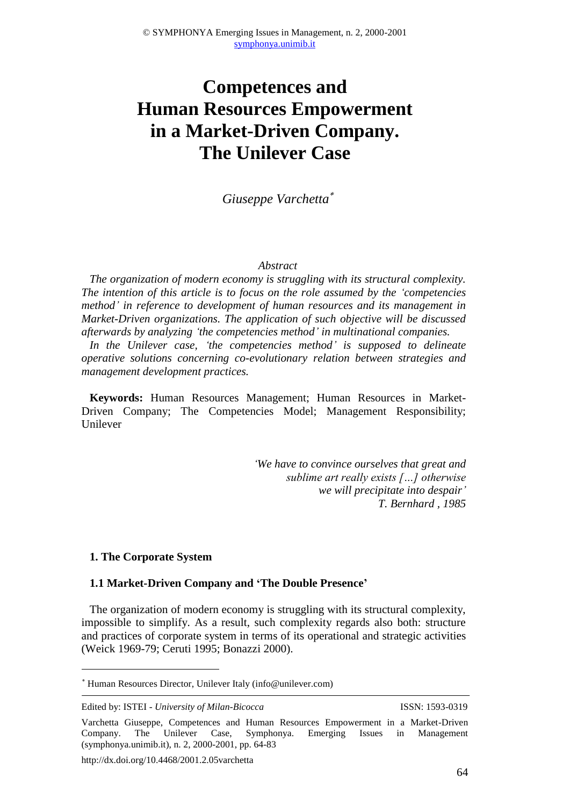# **Competences and Human Resources Empowerment in a Market-Driven Company. The Unilever Case**

*Giuseppe Varchetta*

### *Abstract*

*The organization of modern economy is struggling with its structural complexity. The intention of this article is to focus on the role assumed by the 'competencies method' in reference to development of human resources and its management in Market-Driven organizations. The application of such objective will be discussed afterwards by analyzing 'the competencies method' in multinational companies.*

*In the Unilever case, 'the competencies method' is supposed to delineate operative solutions concerning co-evolutionary relation between strategies and management development practices.*

**Keywords:** Human Resources Management; Human Resources in Market-Driven Company; The Competencies Model; Management Responsibility; Unilever

> *'We have to convince ourselves that great and sublime art really exists […] otherwise we will precipitate into despair' T. Bernhard , 1985*

### **1. The Corporate System**

1

### **1.1 Market-Driven Company and 'The Double Presence'**

The organization of modern economy is struggling with its structural complexity, impossible to simplify. As a result, such complexity regards also both: structure and practices of corporate system in terms of its operational and strategic activities (Weick 1969-79; Ceruti 1995; Bonazzi 2000).

Human Resources Director, Unilever Italy (info@unilever.com)

Edited by: ISTEI - *University of Milan-Bicocca* ISSN: 1593-0319

Varchetta Giuseppe, Competences and Human Resources Empowerment in a Market-Driven Company. The Unilever Case, Symphonya. Emerging Issues in Management (symphonya.unimib.it), n. 2, 2000-2001, pp. 64-83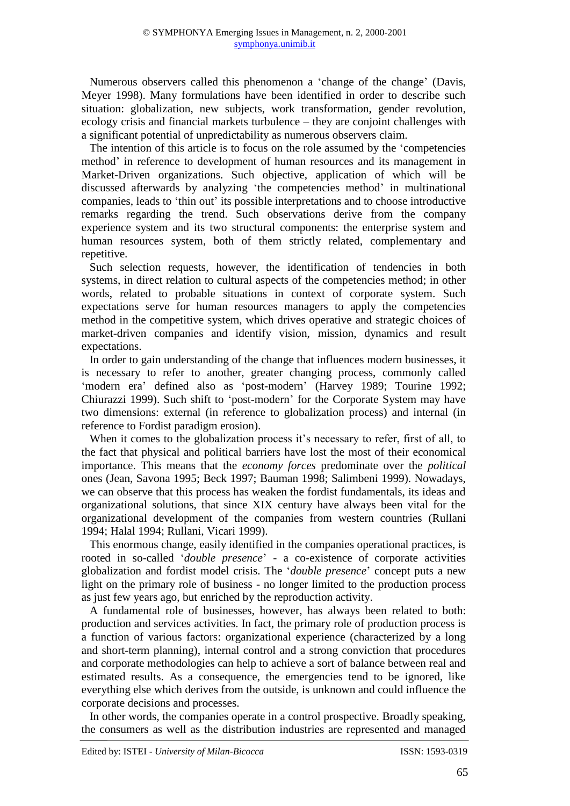Numerous observers called this phenomenon a 'change of the change' (Davis, Meyer 1998). Many formulations have been identified in order to describe such situation: globalization, new subjects, work transformation, gender revolution, ecology crisis and financial markets turbulence – they are conjoint challenges with a significant potential of unpredictability as numerous observers claim.

The intention of this article is to focus on the role assumed by the 'competencies method' in reference to development of human resources and its management in Market-Driven organizations. Such objective, application of which will be discussed afterwards by analyzing 'the competencies method' in multinational companies, leads to 'thin out' its possible interpretations and to choose introductive remarks regarding the trend. Such observations derive from the company experience system and its two structural components: the enterprise system and human resources system, both of them strictly related, complementary and repetitive.

Such selection requests, however, the identification of tendencies in both systems, in direct relation to cultural aspects of the competencies method; in other words, related to probable situations in context of corporate system. Such expectations serve for human resources managers to apply the competencies method in the competitive system, which drives operative and strategic choices of market-driven companies and identify vision, mission, dynamics and result expectations.

In order to gain understanding of the change that influences modern businesses, it is necessary to refer to another, greater changing process, commonly called 'modern era' defined also as 'post-modern' (Harvey 1989; Tourine 1992; Chiurazzi 1999). Such shift to 'post-modern' for the Corporate System may have two dimensions: external (in reference to globalization process) and internal (in reference to Fordist paradigm erosion).

When it comes to the globalization process it's necessary to refer, first of all, to the fact that physical and political barriers have lost the most of their economical importance. This means that the *economy forces* predominate over the *political* ones (Jean, Savona 1995; Beck 1997; Bauman 1998; Salimbeni 1999). Nowadays, we can observe that this process has weaken the fordist fundamentals, its ideas and organizational solutions, that since XIX century have always been vital for the organizational development of the companies from western countries (Rullani 1994; Halal 1994; Rullani, Vicari 1999).

This enormous change, easily identified in the companies operational practices, is rooted in so-called '*double presence*' - a co-existence of corporate activities globalization and fordist model crisis. The '*double presence*' concept puts a new light on the primary role of business - no longer limited to the production process as just few years ago, but enriched by the reproduction activity.

A fundamental role of businesses, however, has always been related to both: production and services activities. In fact, the primary role of production process is a function of various factors: organizational experience (characterized by a long and short-term planning), internal control and a strong conviction that procedures and corporate methodologies can help to achieve a sort of balance between real and estimated results. As a consequence, the emergencies tend to be ignored, like everything else which derives from the outside, is unknown and could influence the corporate decisions and processes.

In other words, the companies operate in a control prospective. Broadly speaking, the consumers as well as the distribution industries are represented and managed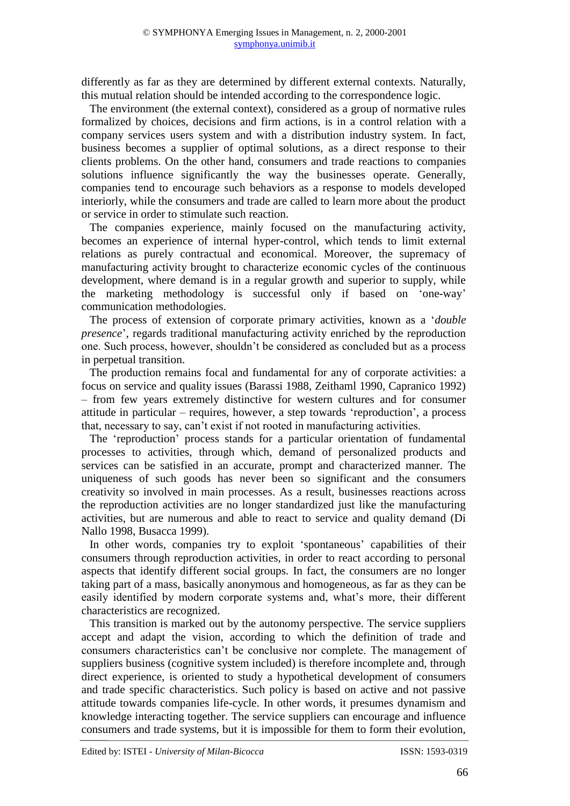differently as far as they are determined by different external contexts. Naturally, this mutual relation should be intended according to the correspondence logic.

The environment (the external context), considered as a group of normative rules formalized by choices, decisions and firm actions, is in a control relation with a company services users system and with a distribution industry system. In fact, business becomes a supplier of optimal solutions, as a direct response to their clients problems. On the other hand, consumers and trade reactions to companies solutions influence significantly the way the businesses operate. Generally, companies tend to encourage such behaviors as a response to models developed interiorly, while the consumers and trade are called to learn more about the product or service in order to stimulate such reaction.

The companies experience, mainly focused on the manufacturing activity, becomes an experience of internal hyper-control, which tends to limit external relations as purely contractual and economical. Moreover, the supremacy of manufacturing activity brought to characterize economic cycles of the continuous development, where demand is in a regular growth and superior to supply, while the marketing methodology is successful only if based on 'one-way' communication methodologies.

The process of extension of corporate primary activities, known as a '*double presence*', regards traditional manufacturing activity enriched by the reproduction one. Such process, however, shouldn't be considered as concluded but as a process in perpetual transition.

The production remains focal and fundamental for any of corporate activities: a focus on service and quality issues (Barassi 1988, Zeithaml 1990, Capranico 1992) – from few years extremely distinctive for western cultures and for consumer attitude in particular – requires, however, a step towards 'reproduction', a process that, necessary to say, can't exist if not rooted in manufacturing activities.

The 'reproduction' process stands for a particular orientation of fundamental processes to activities, through which, demand of personalized products and services can be satisfied in an accurate, prompt and characterized manner. The uniqueness of such goods has never been so significant and the consumers creativity so involved in main processes. As a result, businesses reactions across the reproduction activities are no longer standardized just like the manufacturing activities, but are numerous and able to react to service and quality demand (Di Nallo 1998, Busacca 1999).

In other words, companies try to exploit 'spontaneous' capabilities of their consumers through reproduction activities, in order to react according to personal aspects that identify different social groups. In fact, the consumers are no longer taking part of a mass, basically anonymous and homogeneous, as far as they can be easily identified by modern corporate systems and, what's more, their different characteristics are recognized.

This transition is marked out by the autonomy perspective. The service suppliers accept and adapt the vision, according to which the definition of trade and consumers characteristics can't be conclusive nor complete. The management of suppliers business (cognitive system included) is therefore incomplete and, through direct experience, is oriented to study a hypothetical development of consumers and trade specific characteristics. Such policy is based on active and not passive attitude towards companies life-cycle. In other words, it presumes dynamism and knowledge interacting together. The service suppliers can encourage and influence consumers and trade systems, but it is impossible for them to form their evolution,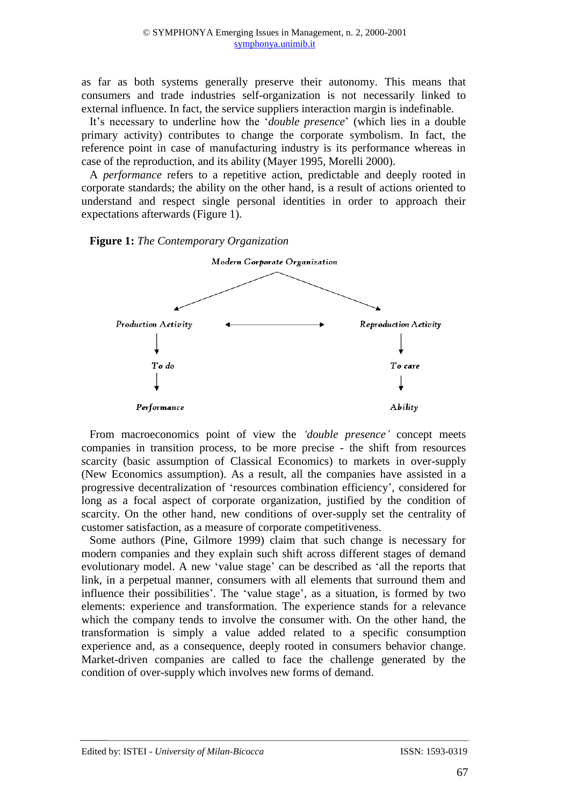as far as both systems generally preserve their autonomy. This means that consumers and trade industries self-organization is not necessarily linked to external influence. In fact, the service suppliers interaction margin is indefinable.

It's necessary to underline how the '*double presence*' (which lies in a double primary activity) contributes to change the corporate symbolism. In fact, the reference point in case of manufacturing industry is its performance whereas in case of the reproduction, and its ability (Mayer 1995, Morelli 2000).

A *performance* refers to a repetitive action, predictable and deeply rooted in corporate standards; the ability on the other hand, is a result of actions oriented to understand and respect single personal identities in order to approach their expectations afterwards (Figure 1).





From macroeconomics point of view the *'double presence'* concept meets companies in transition process, to be more precise - the shift from resources scarcity (basic assumption of Classical Economics) to markets in over-supply (New Economics assumption). As a result, all the companies have assisted in a progressive decentralization of 'resources combination efficiency', considered for long as a focal aspect of corporate organization, justified by the condition of scarcity. On the other hand, new conditions of over-supply set the centrality of customer satisfaction, as a measure of corporate competitiveness.

Some authors (Pine, Gilmore 1999) claim that such change is necessary for modern companies and they explain such shift across different stages of demand evolutionary model. A new 'value stage' can be described as 'all the reports that link, in a perpetual manner, consumers with all elements that surround them and influence their possibilities'. The 'value stage', as a situation, is formed by two elements: experience and transformation. The experience stands for a relevance which the company tends to involve the consumer with. On the other hand, the transformation is simply a value added related to a specific consumption experience and, as a consequence, deeply rooted in consumers behavior change. Market-driven companies are called to face the challenge generated by the condition of over-supply which involves new forms of demand.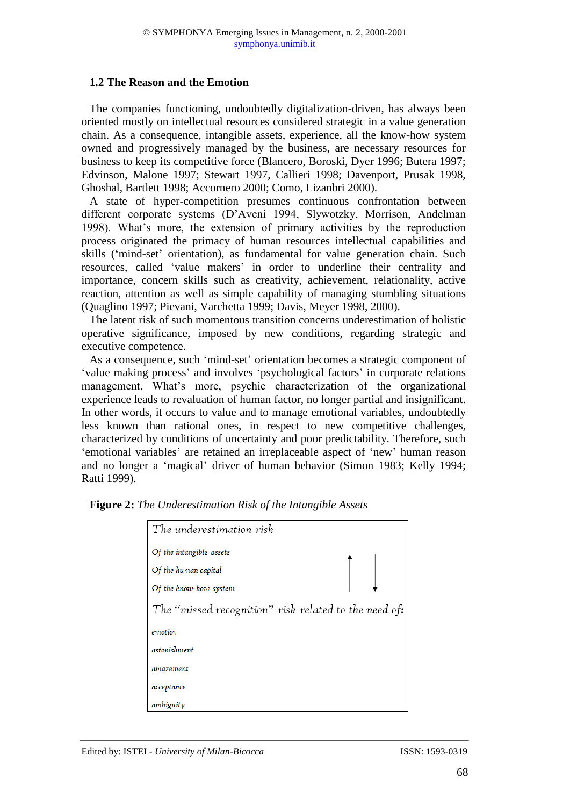## **1.2 The Reason and the Emotion**

The companies functioning, undoubtedly digitalization-driven, has always been oriented mostly on intellectual resources considered strategic in a value generation chain. As a consequence, intangible assets, experience, all the know-how system owned and progressively managed by the business, are necessary resources for business to keep its competitive force (Blancero, Boroski, Dyer 1996; Butera 1997; Edvinson, Malone 1997; Stewart 1997, Callieri 1998; Davenport, Prusak 1998, Ghoshal, Bartlett 1998; Accornero 2000; Como, Lizanbri 2000).

A state of hyper-competition presumes continuous confrontation between different corporate systems (D'Aveni 1994, Slywotzky, Morrison, Andelman 1998). What's more, the extension of primary activities by the reproduction process originated the primacy of human resources intellectual capabilities and skills ('mind-set' orientation), as fundamental for value generation chain. Such resources, called 'value makers' in order to underline their centrality and importance, concern skills such as creativity, achievement, relationality, active reaction, attention as well as simple capability of managing stumbling situations (Quaglino 1997; Pievani, Varchetta 1999; Davis, Meyer 1998, 2000).

The latent risk of such momentous transition concerns underestimation of holistic operative significance, imposed by new conditions, regarding strategic and executive competence.

As a consequence, such 'mind-set' orientation becomes a strategic component of 'value making process' and involves 'psychological factors' in corporate relations management. What's more, psychic characterization of the organizational experience leads to revaluation of human factor, no longer partial and insignificant. In other words, it occurs to value and to manage emotional variables, undoubtedly less known than rational ones, in respect to new competitive challenges, characterized by conditions of uncertainty and poor predictability. Therefore, such 'emotional variables' are retained an irreplaceable aspect of 'new' human reason and no longer a 'magical' driver of human behavior (Simon 1983; Kelly 1994; Ratti 1999).



**Figure 2:** *The Underestimation Risk of the Intangible Assets*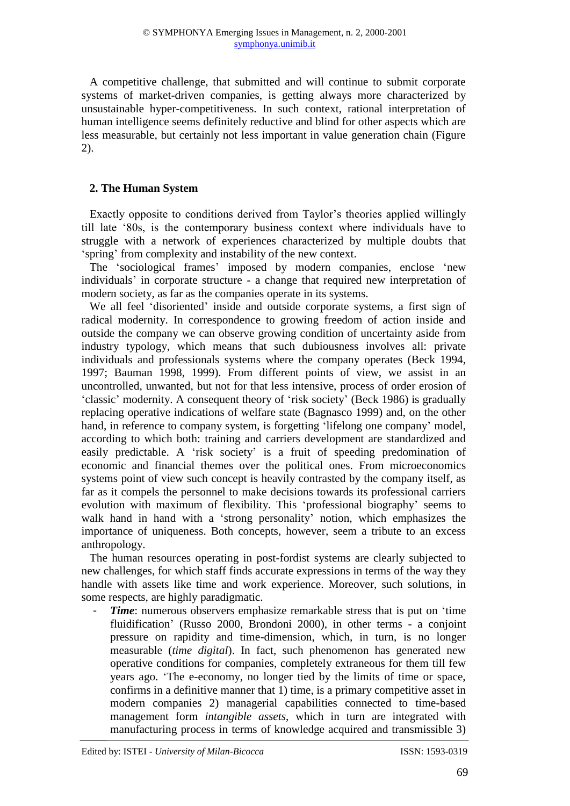A competitive challenge, that submitted and will continue to submit corporate systems of market-driven companies, is getting always more characterized by unsustainable hyper-competitiveness. In such context, rational interpretation of human intelligence seems definitely reductive and blind for other aspects which are less measurable, but certainly not less important in value generation chain (Figure 2).

## **2. The Human System**

Exactly opposite to conditions derived from Taylor's theories applied willingly till late '80s, is the contemporary business context where individuals have to struggle with a network of experiences characterized by multiple doubts that 'spring' from complexity and instability of the new context.

The 'sociological frames' imposed by modern companies, enclose 'new individuals' in corporate structure - a change that required new interpretation of modern society, as far as the companies operate in its systems.

We all feel 'disoriented' inside and outside corporate systems, a first sign of radical modernity. In correspondence to growing freedom of action inside and outside the company we can observe growing condition of uncertainty aside from industry typology, which means that such dubiousness involves all: private individuals and professionals systems where the company operates (Beck 1994, 1997; Bauman 1998, 1999). From different points of view, we assist in an uncontrolled, unwanted, but not for that less intensive, process of order erosion of 'classic' modernity. A consequent theory of 'risk society' (Beck 1986) is gradually replacing operative indications of welfare state (Bagnasco 1999) and, on the other hand, in reference to company system, is forgetting 'lifelong one company' model, according to which both: training and carriers development are standardized and easily predictable. A 'risk society' is a fruit of speeding predomination of economic and financial themes over the political ones. From microeconomics systems point of view such concept is heavily contrasted by the company itself, as far as it compels the personnel to make decisions towards its professional carriers evolution with maximum of flexibility. This 'professional biography' seems to walk hand in hand with a 'strong personality' notion, which emphasizes the importance of uniqueness. Both concepts, however, seem a tribute to an excess anthropology.

The human resources operating in post-fordist systems are clearly subjected to new challenges, for which staff finds accurate expressions in terms of the way they handle with assets like time and work experience. Moreover, such solutions, in some respects, are highly paradigmatic.

*Time*: numerous observers emphasize remarkable stress that is put on 'time fluidification' (Russo 2000, Brondoni 2000), in other terms - a conjoint pressure on rapidity and time-dimension, which, in turn, is no longer measurable (*time digital*). In fact, such phenomenon has generated new operative conditions for companies, completely extraneous for them till few years ago. 'The e-economy, no longer tied by the limits of time or space, confirms in a definitive manner that 1) time, is a primary competitive asset in modern companies 2) managerial capabilities connected to time-based management form *intangible assets*, which in turn are integrated with manufacturing process in terms of knowledge acquired and transmissible 3)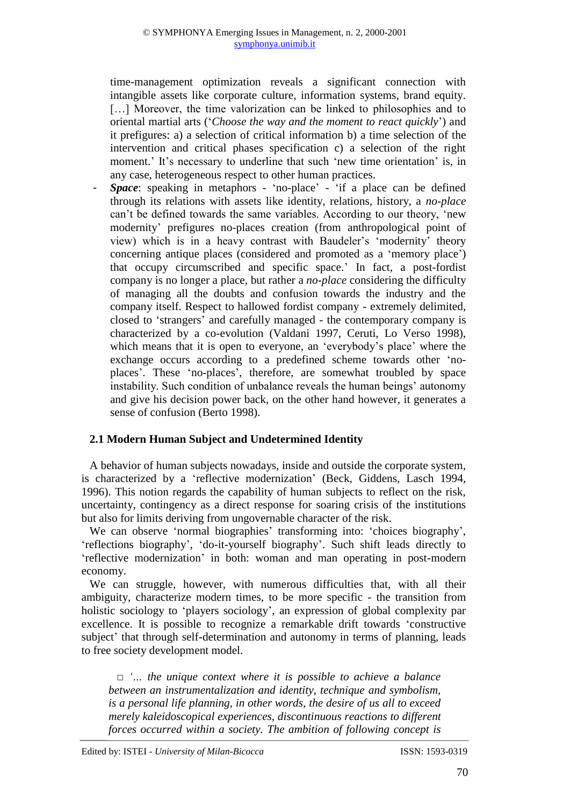time-management optimization reveals a significant connection with intangible assets like corporate culture, information systems, brand equity. [...] Moreover, the time valorization can be linked to philosophies and to oriental martial arts ('*Choose the way and the moment to react quickly*') and it prefigures: a) a selection of critical information b) a time selection of the intervention and critical phases specification c) a selection of the right moment.' It's necessary to underline that such 'new time orientation' is, in any case, heterogeneous respect to other human practices.

**Space**: speaking in metaphors - 'no-place' - 'if a place can be defined through its relations with assets like identity, relations, history, a *no-place* can't be defined towards the same variables. According to our theory, 'new modernity' prefigures no-places creation (from anthropological point of view) which is in a heavy contrast with Baudeler's 'modernity' theory concerning antique places (considered and promoted as a 'memory place') that occupy circumscribed and specific space.' In fact, a post-fordist company is no longer a place, but rather a *no-place* considering the difficulty of managing all the doubts and confusion towards the industry and the company itself. Respect to hallowed fordist company - extremely delimited, closed to 'strangers' and carefully managed - the contemporary company is characterized by a co-evolution (Valdani 1997, Ceruti, Lo Verso 1998), which means that it is open to everyone, an 'everybody's place' where the exchange occurs according to a predefined scheme towards other 'noplaces'. These 'no-places', therefore, are somewhat troubled by space instability. Such condition of unbalance reveals the human beings' autonomy and give his decision power back, on the other hand however, it generates a sense of confusion (Berto 1998).

# **2.1 Modern Human Subject and Undetermined Identity**

A behavior of human subjects nowadays, inside and outside the corporate system, is characterized by a 'reflective modernization' (Beck, Giddens, Lasch 1994, 1996). This notion regards the capability of human subjects to reflect on the risk, uncertainty, contingency as a direct response for soaring crisis of the institutions but also for limits deriving from ungovernable character of the risk.

We can observe 'normal biographies' transforming into: 'choices biography', 'reflections biography', 'do-it-yourself biography'. Such shift leads directly to 'reflective modernization' in both: woman and man operating in post-modern economy.

We can struggle, however, with numerous difficulties that, with all their ambiguity, characterize modern times, to be more specific - the transition from holistic sociology to 'players sociology', an expression of global complexity par excellence. It is possible to recognize a remarkable drift towards 'constructive subject' that through self-determination and autonomy in terms of planning, leads to free society development model.

*□ '… the unique context where it is possible to achieve a balance between an instrumentalization and identity, technique and symbolism, is a personal life planning, in other words, the desire of us all to exceed merely kaleidoscopical experiences, discontinuous reactions to different forces occurred within a society. The ambition of following concept is*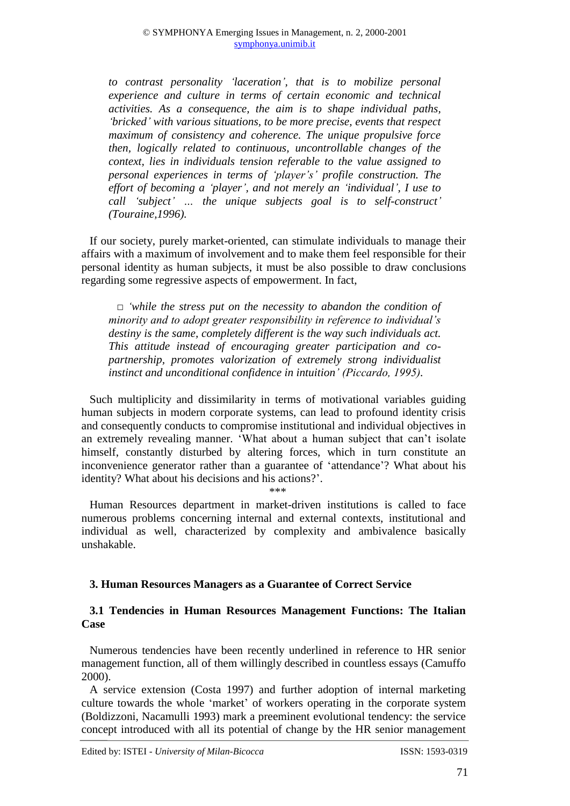*to contrast personality 'laceration', that is to mobilize personal experience and culture in terms of certain economic and technical activities. As a consequence, the aim is to shape individual paths, 'bricked' with various situations, to be more precise, events that respect maximum of consistency and coherence. The unique propulsive force then, logically related to continuous, uncontrollable changes of the context, lies in individuals tension referable to the value assigned to personal experiences in terms of 'player's' profile construction. The effort of becoming a 'player', and not merely an 'individual', I use to call 'subject' … the unique subjects goal is to self-construct' (Touraine,1996).*

If our society, purely market-oriented, can stimulate individuals to manage their affairs with a maximum of involvement and to make them feel responsible for their personal identity as human subjects, it must be also possible to draw conclusions regarding some regressive aspects of empowerment. In fact,

*□ 'while the stress put on the necessity to abandon the condition of minority and to adopt greater responsibility in reference to individual's destiny is the same, completely different is the way such individuals act. This attitude instead of encouraging greater participation and copartnership, promotes valorization of extremely strong individualist instinct and unconditional confidence in intuition' (Piccardo, 1995).*

Such multiplicity and dissimilarity in terms of motivational variables guiding human subjects in modern corporate systems, can lead to profound identity crisis and consequently conducts to compromise institutional and individual objectives in an extremely revealing manner. 'What about a human subject that can't isolate himself, constantly disturbed by altering forces, which in turn constitute an inconvenience generator rather than a guarantee of 'attendance'? What about his identity? What about his decisions and his actions?'.

\*\*\*

Human Resources department in market-driven institutions is called to face numerous problems concerning internal and external contexts, institutional and individual as well, characterized by complexity and ambivalence basically unshakable.

# **3. Human Resources Managers as a Guarantee of Correct Service**

## **3.1 Tendencies in Human Resources Management Functions: The Italian Case**

Numerous tendencies have been recently underlined in reference to HR senior management function, all of them willingly described in countless essays (Camuffo 2000).

A service extension (Costa 1997) and further adoption of internal marketing culture towards the whole 'market' of workers operating in the corporate system (Boldizzoni, Nacamulli 1993) mark a preeminent evolutional tendency: the service concept introduced with all its potential of change by the HR senior management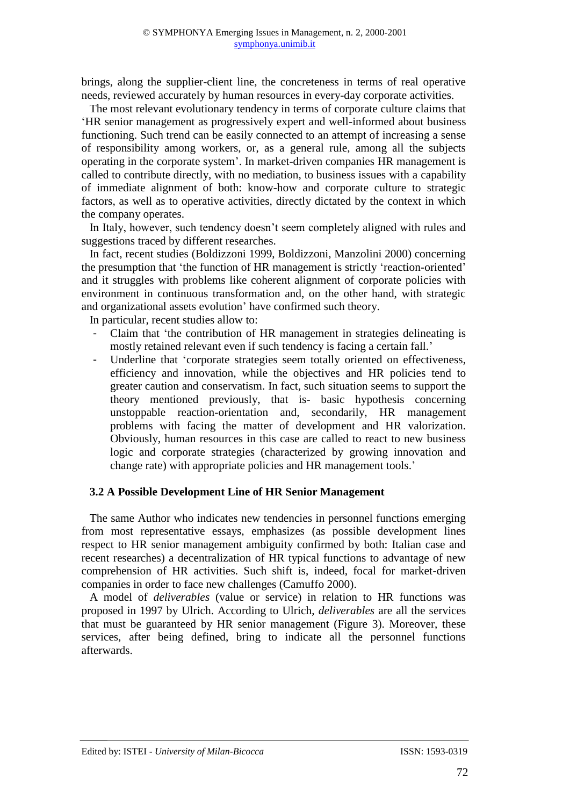brings, along the supplier-client line, the concreteness in terms of real operative needs, reviewed accurately by human resources in every-day corporate activities.

The most relevant evolutionary tendency in terms of corporate culture claims that 'HR senior management as progressively expert and well-informed about business functioning. Such trend can be easily connected to an attempt of increasing a sense of responsibility among workers, or, as a general rule, among all the subjects operating in the corporate system'. In market-driven companies HR management is called to contribute directly, with no mediation, to business issues with a capability of immediate alignment of both: know-how and corporate culture to strategic factors, as well as to operative activities, directly dictated by the context in which the company operates.

In Italy, however, such tendency doesn't seem completely aligned with rules and suggestions traced by different researches.

In fact, recent studies (Boldizzoni 1999, Boldizzoni, Manzolini 2000) concerning the presumption that 'the function of HR management is strictly 'reaction-oriented' and it struggles with problems like coherent alignment of corporate policies with environment in continuous transformation and, on the other hand, with strategic and organizational assets evolution' have confirmed such theory.

In particular, recent studies allow to:

- Claim that 'the contribution of HR management in strategies delineating is mostly retained relevant even if such tendency is facing a certain fall.'
- Underline that 'corporate strategies seem totally oriented on effectiveness, efficiency and innovation, while the objectives and HR policies tend to greater caution and conservatism. In fact, such situation seems to support the theory mentioned previously, that is- basic hypothesis concerning unstoppable reaction-orientation and, secondarily, HR management problems with facing the matter of development and HR valorization. Obviously, human resources in this case are called to react to new business logic and corporate strategies (characterized by growing innovation and change rate) with appropriate policies and HR management tools.'

### **3.2 A Possible Development Line of HR Senior Management**

The same Author who indicates new tendencies in personnel functions emerging from most representative essays, emphasizes (as possible development lines respect to HR senior management ambiguity confirmed by both: Italian case and recent researches) a decentralization of HR typical functions to advantage of new comprehension of HR activities. Such shift is, indeed, focal for market-driven companies in order to face new challenges (Camuffo 2000).

A model of *deliverables* (value or service) in relation to HR functions was proposed in 1997 by Ulrich. According to Ulrich, *deliverables* are all the services that must be guaranteed by HR senior management (Figure 3). Moreover, these services, after being defined, bring to indicate all the personnel functions afterwards.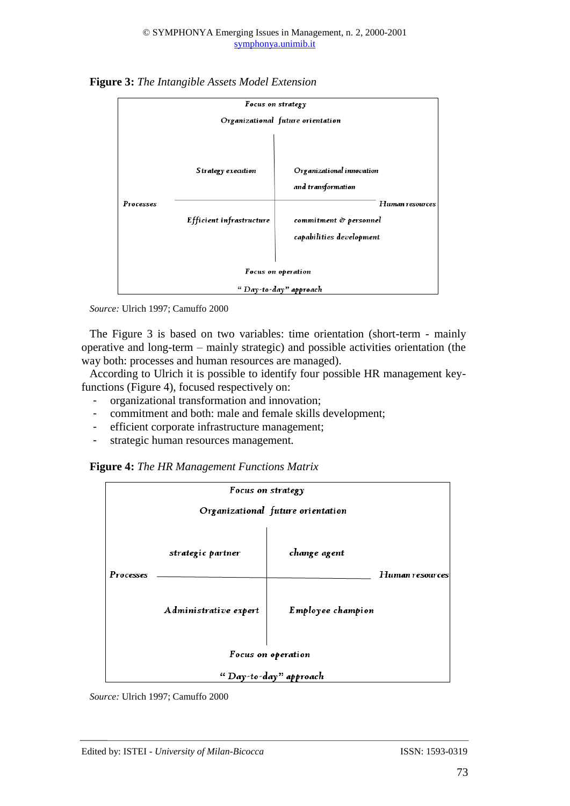| Focus on strategy |                                                |                                                                                                                          |
|-------------------|------------------------------------------------|--------------------------------------------------------------------------------------------------------------------------|
|                   |                                                | Organizational future orientation                                                                                        |
| Processes         | Strategy execution<br>Efficient infrastructure | Organizational innovation<br>and transformation<br>Human resources<br>commitment & personnel<br>capabilities development |
|                   |                                                | Focus on operation                                                                                                       |
|                   |                                                | " Dav-to-day" approach                                                                                                   |

**Figure 3:** *The Intangible Assets Model Extension*

*Source:* Ulrich 1997; Camuffo 2000

The Figure 3 is based on two variables: time orientation (short-term - mainly operative and long-term – mainly strategic) and possible activities orientation (the way both: processes and human resources are managed).

According to Ulrich it is possible to identify four possible HR management keyfunctions (Figure 4), focused respectively on:

- organizational transformation and innovation;
- commitment and both: male and female skills development;
- efficient corporate infrastructure management;
- strategic human resources management.

**Figure 4:** *The HR Management Functions Matrix*



*Source:* Ulrich 1997; Camuffo 2000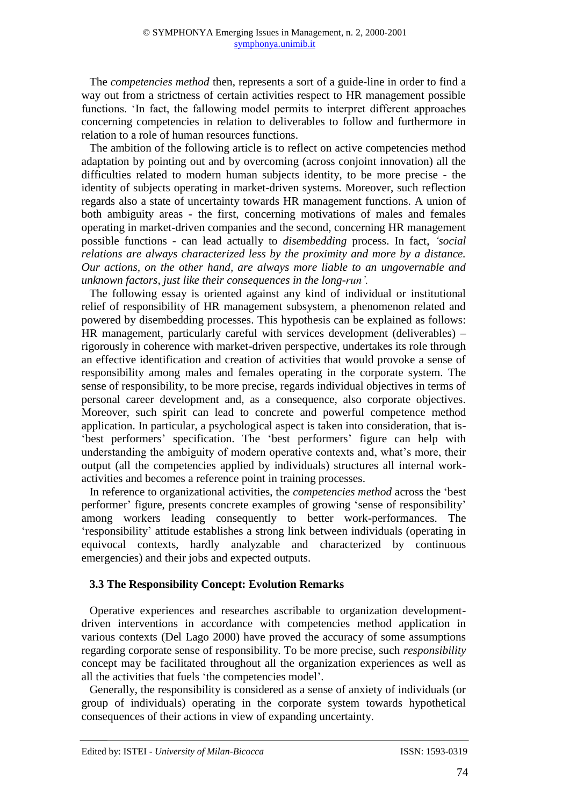The *competencies method* then, represents a sort of a guide-line in order to find a way out from a strictness of certain activities respect to HR management possible functions. 'In fact, the fallowing model permits to interpret different approaches concerning competencies in relation to deliverables to follow and furthermore in relation to a role of human resources functions.

The ambition of the following article is to reflect on active competencies method adaptation by pointing out and by overcoming (across conjoint innovation) all the difficulties related to modern human subjects identity, to be more precise - the identity of subjects operating in market-driven systems. Moreover, such reflection regards also a state of uncertainty towards HR management functions. A union of both ambiguity areas - the first, concerning motivations of males and females operating in market-driven companies and the second, concerning HR management possible functions - can lead actually to *disembedding* process. In fact, *'social relations are always characterized less by the proximity and more by a distance. Our actions, on the other hand, are always more liable to an ungovernable and unknown factors, just like their consequences in the long-run'.*

The following essay is oriented against any kind of individual or institutional relief of responsibility of HR management subsystem, a phenomenon related and powered by disembedding processes. This hypothesis can be explained as follows: HR management, particularly careful with services development (deliverables) – rigorously in coherence with market-driven perspective, undertakes its role through an effective identification and creation of activities that would provoke a sense of responsibility among males and females operating in the corporate system. The sense of responsibility, to be more precise, regards individual objectives in terms of personal career development and, as a consequence, also corporate objectives. Moreover, such spirit can lead to concrete and powerful competence method application. In particular, a psychological aspect is taken into consideration, that is- 'best performers' specification. The 'best performers' figure can help with understanding the ambiguity of modern operative contexts and, what's more, their output (all the competencies applied by individuals) structures all internal workactivities and becomes a reference point in training processes.

In reference to organizational activities, the *competencies method* across the 'best performer' figure, presents concrete examples of growing 'sense of responsibility' among workers leading consequently to better work-performances. The 'responsibility' attitude establishes a strong link between individuals (operating in equivocal contexts, hardly analyzable and characterized by continuous emergencies) and their jobs and expected outputs.

# **3.3 The Responsibility Concept: Evolution Remarks**

Operative experiences and researches ascribable to organization developmentdriven interventions in accordance with competencies method application in various contexts (Del Lago 2000) have proved the accuracy of some assumptions regarding corporate sense of responsibility. To be more precise, such *responsibility* concept may be facilitated throughout all the organization experiences as well as all the activities that fuels 'the competencies model'.

Generally, the responsibility is considered as a sense of anxiety of individuals (or group of individuals) operating in the corporate system towards hypothetical consequences of their actions in view of expanding uncertainty.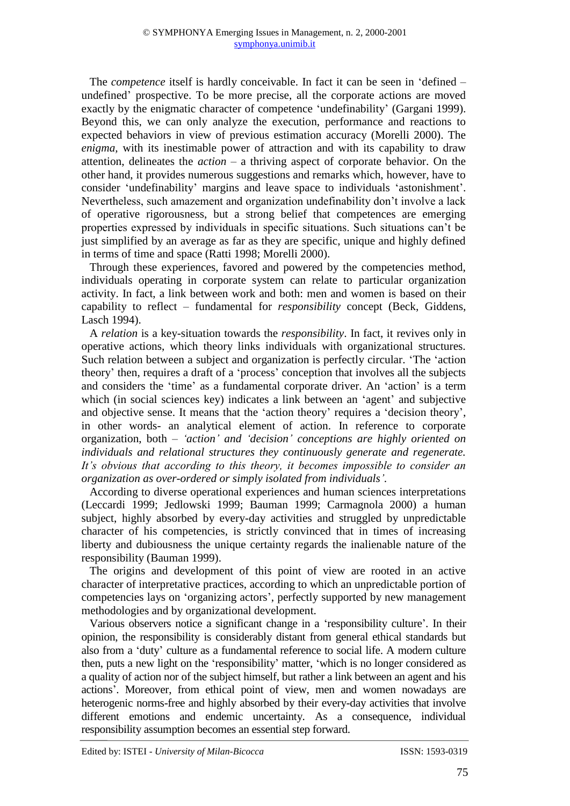The *competence* itself is hardly conceivable. In fact it can be seen in 'defined – undefined' prospective. To be more precise, all the corporate actions are moved exactly by the enigmatic character of competence 'undefinability' (Gargani 1999). Beyond this, we can only analyze the execution, performance and reactions to expected behaviors in view of previous estimation accuracy (Morelli 2000). The *enigma,* with its inestimable power of attraction and with its capability to draw attention, delineates the *action –* a thriving aspect of corporate behavior. On the other hand, it provides numerous suggestions and remarks which, however, have to consider 'undefinability' margins and leave space to individuals 'astonishment'. Nevertheless, such amazement and organization undefinability don't involve a lack of operative rigorousness, but a strong belief that competences are emerging properties expressed by individuals in specific situations. Such situations can't be just simplified by an average as far as they are specific, unique and highly defined in terms of time and space (Ratti 1998; Morelli 2000).

Through these experiences, favored and powered by the competencies method, individuals operating in corporate system can relate to particular organization activity. In fact, a link between work and both: men and women is based on their capability to reflect – fundamental for *responsibility* concept (Beck, Giddens, Lasch 1994).

A *relation* is a key-situation towards the *responsibility*. In fact, it revives only in operative actions, which theory links individuals with organizational structures. Such relation between a subject and organization is perfectly circular. 'The 'action theory' then, requires a draft of a 'process' conception that involves all the subjects and considers the 'time' as a fundamental corporate driver. An 'action' is a term which (in social sciences key) indicates a link between an 'agent' and subjective and objective sense. It means that the 'action theory' requires a 'decision theory', in other words- an analytical element of action. In reference to corporate organization, both *– 'action' and 'decision' conceptions are highly oriented on individuals and relational structures they continuously generate and regenerate. It's obvious that according to this theory, it becomes impossible to consider an organization as over-ordered or simply isolated from individuals'.*

According to diverse operational experiences and human sciences interpretations (Leccardi 1999; Jedlowski 1999; Bauman 1999; Carmagnola 2000) a human subject, highly absorbed by every-day activities and struggled by unpredictable character of his competencies, is strictly convinced that in times of increasing liberty and dubiousness the unique certainty regards the inalienable nature of the responsibility (Bauman 1999).

The origins and development of this point of view are rooted in an active character of interpretative practices, according to which an unpredictable portion of competencies lays on 'organizing actors', perfectly supported by new management methodologies and by organizational development.

Various observers notice a significant change in a 'responsibility culture'. In their opinion, the responsibility is considerably distant from general ethical standards but also from a 'duty' culture as a fundamental reference to social life. A modern culture then, puts a new light on the 'responsibility' matter, 'which is no longer considered as a quality of action nor of the subject himself, but rather a link between an agent and his actions'. Moreover, from ethical point of view, men and women nowadays are heterogenic norms-free and highly absorbed by their every-day activities that involve different emotions and endemic uncertainty. As a consequence, individual responsibility assumption becomes an essential step forward.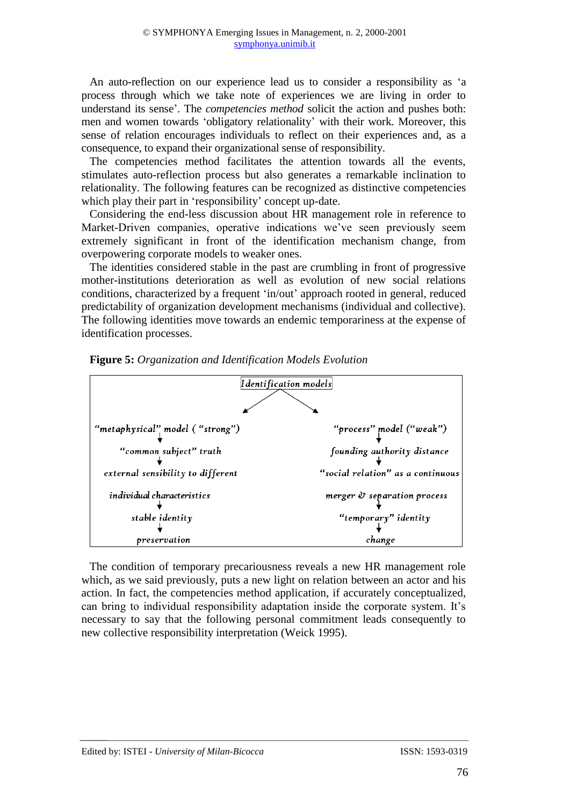An auto-reflection on our experience lead us to consider a responsibility as 'a process through which we take note of experiences we are living in order to understand its sense'. The *competencies method* solicit the action and pushes both: men and women towards 'obligatory relationality' with their work. Moreover, this sense of relation encourages individuals to reflect on their experiences and, as a consequence, to expand their organizational sense of responsibility.

The competencies method facilitates the attention towards all the events, stimulates auto-reflection process but also generates a remarkable inclination to relationality. The following features can be recognized as distinctive competencies which play their part in 'responsibility' concept up-date.

Considering the end-less discussion about HR management role in reference to Market-Driven companies, operative indications we've seen previously seem extremely significant in front of the identification mechanism change, from overpowering corporate models to weaker ones.

The identities considered stable in the past are crumbling in front of progressive mother-institutions deterioration as well as evolution of new social relations conditions, characterized by a frequent 'in/out' approach rooted in general, reduced predictability of organization development mechanisms (individual and collective). The following identities move towards an endemic temporariness at the expense of identification processes.



**Figure 5:** *Organization and Identification Models Evolution*

The condition of temporary precariousness reveals a new HR management role which, as we said previously, puts a new light on relation between an actor and his action. In fact, the competencies method application, if accurately conceptualized, can bring to individual responsibility adaptation inside the corporate system. It's necessary to say that the following personal commitment leads consequently to new collective responsibility interpretation (Weick 1995).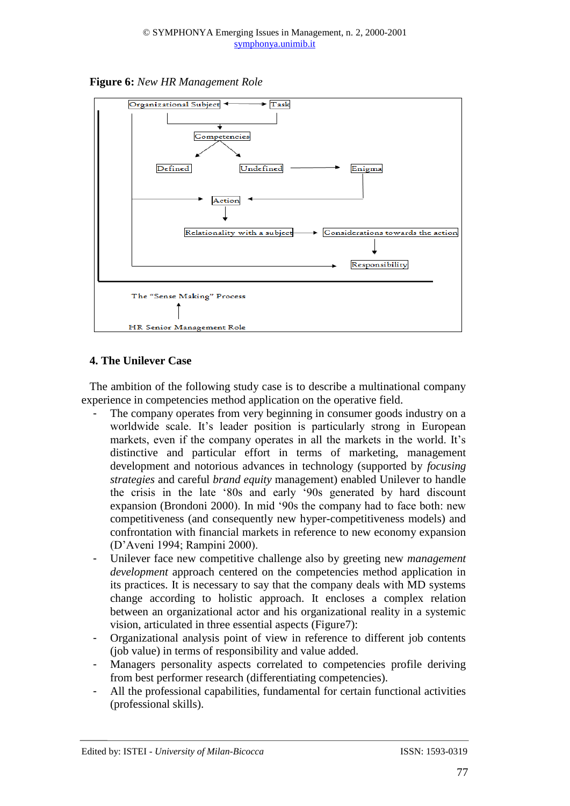



## **4. The Unilever Case**

The ambition of the following study case is to describe a multinational company experience in competencies method application on the operative field.

- The company operates from very beginning in consumer goods industry on a worldwide scale. It's leader position is particularly strong in European markets, even if the company operates in all the markets in the world. It's distinctive and particular effort in terms of marketing, management development and notorious advances in technology (supported by *focusing strategies* and careful *brand equity* management) enabled Unilever to handle the crisis in the late '80s and early '90s generated by hard discount expansion (Brondoni 2000). In mid '90s the company had to face both: new competitiveness (and consequently new hyper-competitiveness models) and confrontation with financial markets in reference to new economy expansion (D'Aveni 1994; Rampini 2000).
- Unilever face new competitive challenge also by greeting new *management development* approach centered on the competencies method application in its practices. It is necessary to say that the company deals with MD systems change according to holistic approach. It encloses a complex relation between an organizational actor and his organizational reality in a systemic vision, articulated in three essential aspects (Figure7):
- Organizational analysis point of view in reference to different job contents (job value) in terms of responsibility and value added.
- Managers personality aspects correlated to competencies profile deriving from best performer research (differentiating competencies).
- All the professional capabilities, fundamental for certain functional activities (professional skills).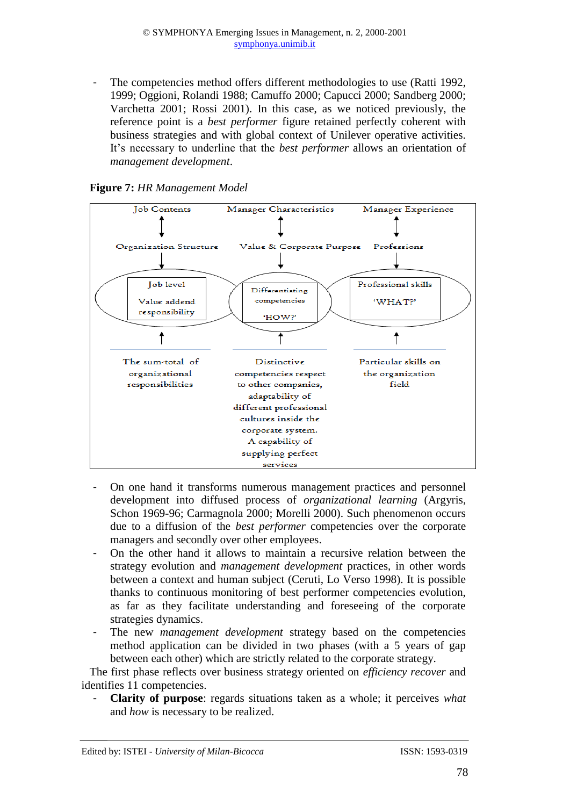The competencies method offers different methodologies to use (Ratti 1992, 1999; Oggioni, Rolandi 1988; Camuffo 2000; Capucci 2000; Sandberg 2000; Varchetta 2001; Rossi 2001). In this case, as we noticed previously, the reference point is a *best performer* figure retained perfectly coherent with business strategies and with global context of Unilever operative activities. It's necessary to underline that the *best performer* allows an orientation of *management development*.





- On one hand it transforms numerous management practices and personnel development into diffused process of *organizational learning* (Argyris, Schon 1969-96; Carmagnola 2000; Morelli 2000). Such phenomenon occurs due to a diffusion of the *best performer* competencies over the corporate managers and secondly over other employees.
- On the other hand it allows to maintain a recursive relation between the strategy evolution and *management development* practices, in other words between a context and human subject (Ceruti, Lo Verso 1998). It is possible thanks to continuous monitoring of best performer competencies evolution, as far as they facilitate understanding and foreseeing of the corporate strategies dynamics.
- The new *management development* strategy based on the competencies method application can be divided in two phases (with a 5 years of gap between each other) which are strictly related to the corporate strategy.

The first phase reflects over business strategy oriented on *efficiency recover* and identifies 11 competencies.

- **Clarity of purpose**: regards situations taken as a whole; it perceives *what* and *how* is necessary to be realized.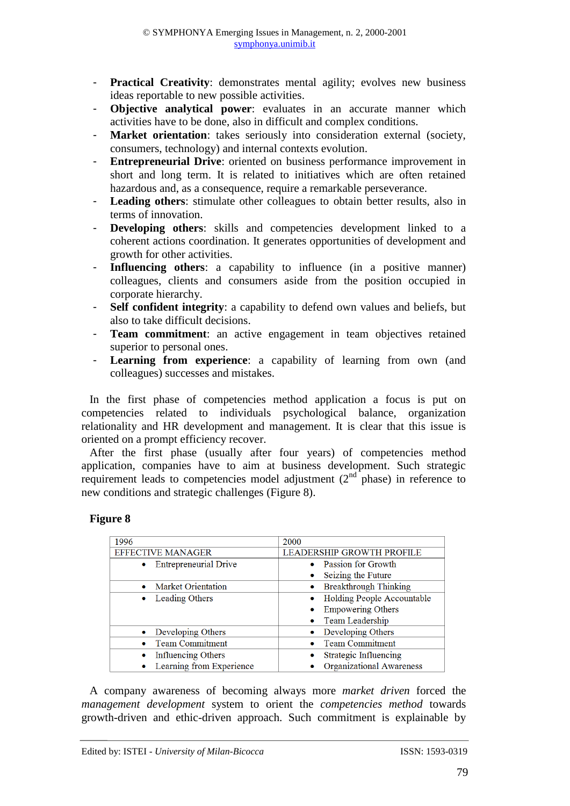- **Practical Creativity**: demonstrates mental agility; evolves new business ideas reportable to new possible activities.
- **Objective analytical power**: evaluates in an accurate manner which activities have to be done, also in difficult and complex conditions.
- **Market orientation**: takes seriously into consideration external (society, consumers, technology) and internal contexts evolution.
- **Entrepreneurial Drive**: oriented on business performance improvement in short and long term. It is related to initiatives which are often retained hazardous and, as a consequence, require a remarkable perseverance.
- Leading others: stimulate other colleagues to obtain better results, also in terms of innovation.
- **Developing others**: skills and competencies development linked to a coherent actions coordination. It generates opportunities of development and growth for other activities.
- **Influencing others**: a capability to influence (in a positive manner) colleagues, clients and consumers aside from the position occupied in corporate hierarchy.
- **Self confident integrity**: a capability to defend own values and beliefs, but also to take difficult decisions.
- Team commitment: an active engagement in team objectives retained superior to personal ones.
- **Learning from experience**: a capability of learning from own (and colleagues) successes and mistakes.

In the first phase of competencies method application a focus is put on competencies related to individuals psychological balance, organization relationality and HR development and management. It is clear that this issue is oriented on a prompt efficiency recover.

After the first phase (usually after four years) of competencies method application, companies have to aim at business development. Such strategic requirement leads to competencies model adjustment  $(2<sup>nd</sup>$  phase) in reference to new conditions and strategic challenges (Figure 8).

# **Figure 8**

| 1996                           | 2000                             |
|--------------------------------|----------------------------------|
| <b>EFFECTIVE MANAGER</b>       | <b>LEADERSHIP GROWTH PROFILE</b> |
| • Entrepreneurial Drive        | • Passion for Growth             |
|                                | Seizing the Future               |
| • Market Orientation           | <b>Breakthrough Thinking</b>     |
| • Leading Others               | • Holding People Accountable     |
|                                | <b>Empowering Others</b>         |
|                                | Team Leadership                  |
| Developing Others<br>$\bullet$ | Developing Others                |
| <b>Team Commitment</b>         | <b>Team Commitment</b>           |
| <b>Influencing Others</b><br>۰ | Strategic Influencing            |
| Learning from Experience       | <b>Organizational Awareness</b>  |

A company awareness of becoming always more *market driven* forced the *management development* system to orient the *competencies method* towards growth-driven and ethic-driven approach. Such commitment is explainable by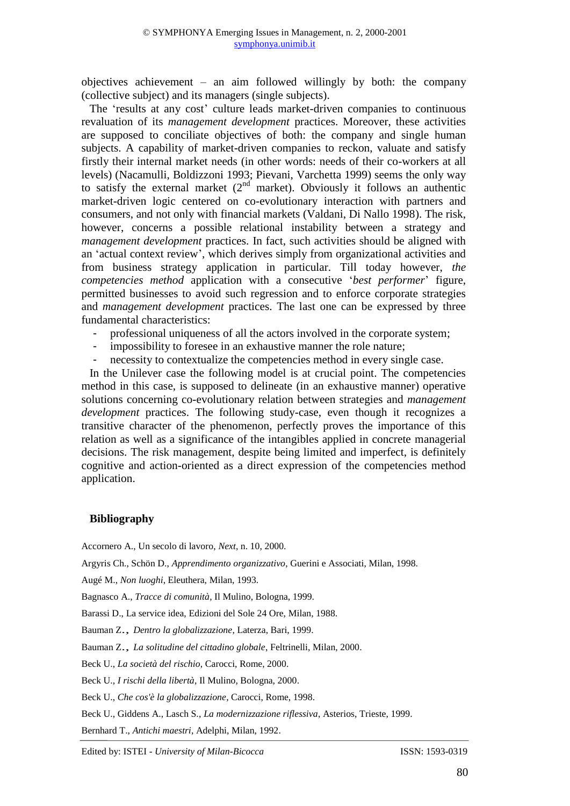objectives achievement – an aim followed willingly by both: the company (collective subject) and its managers (single subjects).

The 'results at any cost' culture leads market-driven companies to continuous revaluation of its *management development* practices. Moreover, these activities are supposed to conciliate objectives of both: the company and single human subjects. A capability of market-driven companies to reckon, valuate and satisfy firstly their internal market needs (in other words: needs of their co-workers at all levels) (Nacamulli, Boldizzoni 1993; Pievani, Varchetta 1999) seems the only way to satisfy the external market  $(2^{nd}$  market). Obviously it follows an authentic market-driven logic centered on co-evolutionary interaction with partners and consumers, and not only with financial markets (Valdani, Di Nallo 1998). The risk, however, concerns a possible relational instability between a strategy and *management development* practices. In fact, such activities should be aligned with an 'actual context review', which derives simply from organizational activities and from business strategy application in particular. Till today however, *the competencies method* application with a consecutive '*best performer*' figure, permitted businesses to avoid such regression and to enforce corporate strategies and *management development* practices. The last one can be expressed by three fundamental characteristics:

- professional uniqueness of all the actors involved in the corporate system;
- impossibility to foresee in an exhaustive manner the role nature;
- necessity to contextualize the competencies method in every single case.

In the Unilever case the following model is at crucial point. The competencies method in this case, is supposed to delineate (in an exhaustive manner) operative solutions concerning co-evolutionary relation between strategies and *management development* practices. The following study-case, even though it recognizes a transitive character of the phenomenon, perfectly proves the importance of this relation as well as a significance of the intangibles applied in concrete managerial decisions. The risk management, despite being limited and imperfect, is definitely cognitive and action-oriented as a direct expression of the competencies method application.

#### **Bibliography**

Accornero A., Un secolo di lavoro, *Next*, n. 10, 2000.

Argyris Ch., Schön D., *Apprendimento organizzativo*, Guerini e Associati, Milan, 1998.

Augé M., *Non luoghi*, Eleuthera, Milan, 1993.

Bagnasco A., *Tracce di comunità*, Il Mulino, Bologna, 1999.

Barassi D., La service idea, Edizioni del Sole 24 Ore, Milan, 1988.

Bauman Z., *Dentro la globalizzazione*, Laterza, Bari, 1999.

Bauman Z., *La solitudine del cittadino globale*, Feltrinelli, Milan, 2000.

Beck U., *La società del rischio*, Carocci, Rome, 2000.

Beck U., *I rischi della libertà*, Il Mulino, Bologna, 2000.

Beck U., *Che cos'è la globalizzazione*, Carocci, Rome, 1998.

Beck U., Giddens A., Lasch S., *La modernizzazione riflessiva*, Asterios, Trieste, 1999.

Bernhard T., *Antichi maestri*, Adelphi, Milan, 1992.

Edited by: ISTEI - *University of Milan-Bicocca* ISSN: 1593-0319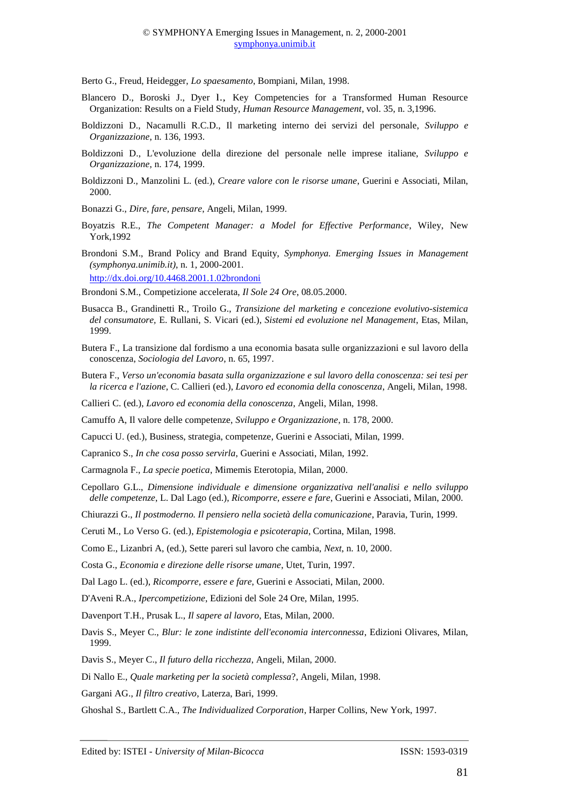Berto G., Freud, Heidegger, *Lo spaesamento*, Bompiani, Milan, 1998.

- Blancero D., Boroski J., Dyer l., Key Competencies for a Transformed Human Resource Organization: Results on a Field Study, *Human Resource Management*, vol. 35, n. 3,1996.
- Boldizzoni D., Nacamulli R.C.D., Il marketing interno dei servizi del personale, *Sviluppo e Organizzazione*, n. 136, 1993.
- Boldizzoni D., L'evoluzione della direzione del personale nelle imprese italiane, *Sviluppo e Organizzazione*, n. 174, 1999.
- Boldizzoni D., Manzolini L. (ed.), *Creare valore con le risorse umane*, Guerini e Associati, Milan, 2000.
- Bonazzi G., *Dire, fare, pensare*, Angeli, Milan, 1999.
- Boyatzis R.E., *The Competent Manager: a Model for Effective Performance*, Wiley, New York,1992
- Brondoni S.M., Brand Policy and Brand Equity, *Symphonya. Emerging Issues in Management (symphonya.unimib.it)*, n. 1, 2000-2001. <http://dx.doi.org/10.4468.2001.1.02brondoni>

- Brondoni S.M., Competizione accelerata, *Il Sole 24 Ore*, 08.05.2000.
- Busacca B., Grandinetti R., Troilo G., *Transizione del marketing e concezione evolutivo-sistemica del consumatore,* E. Rullani, S. Vicari (ed.), *Sistemi ed evoluzione nel Management*, Etas, Milan, 1999.
- Butera F., La transizione dal fordismo a una economia basata sulle organizzazioni e sul lavoro della conoscenza, *Sociologia del Lavoro*, n. 65, 1997.
- Butera F., *Verso un'economia basata sulla organizzazione e sul lavoro della conoscenza: sei tesi per la ricerca e l'azione*, C. Callieri (ed.), *Lavoro ed economia della conoscenza*, Angeli, Milan, 1998.
- Callieri C. (ed.), *Lavoro ed economia della conoscenza*, Angeli, Milan, 1998.
- Camuffo A, Il valore delle competenze, *Sviluppo e Organizzazione*, n. 178, 2000.
- Capucci U. (ed.), Business, strategia, competenze, Guerini e Associati, Milan, 1999.
- Capranico S., *In che cosa posso servirla*, Guerini e Associati, Milan, 1992.
- Carmagnola F., *La specie poetica*, Mimemis Eterotopia, Milan, 2000.
- Cepollaro G.L., *Dimensione individuale e dimensione organizzativa nell'analisi e nello sviluppo delle competenze*, L. Dal Lago (ed.), *Ricomporre, essere e fare*, Guerini e Associati, Milan, 2000.
- Chiurazzi G., *Il postmoderno. Il pensiero nella società della comunicazione*, Paravia, Turin, 1999.
- Ceruti M., Lo Verso G. (ed.), *Epistemologia e psicoterapia*, Cortina, Milan, 1998.
- Como E., Lizanbri A, (ed.), Sette pareri sul lavoro che cambia, *Next*, n. 10, 2000.
- Costa G., *Economia e direzione delle risorse umane*, Utet, Turin, 1997.
- Dal Lago L. (ed.), *Ricomporre, essere e fare*, Guerini e Associati, Milan, 2000.
- D'Aveni R.A., *Ipercompetizione*, Edizioni del Sole 24 Ore, Milan, 1995.
- Davenport T.H., Prusak L., *Il sapere al lavoro*, Etas, Milan, 2000.
- Davis S., Meyer C., *Blur: le zone indistinte dell'economia interconnessa*, Edizioni Olivares, Milan, 1999.
- Davis S., Meyer C., *Il futuro della ricchezza*, Angeli, Milan, 2000.
- Di Nallo E., *Quale marketing per la società complessa*?, Angeli, Milan, 1998.
- Gargani AG., *Il filtro creativo*, Laterza, Bari, 1999.

Ghoshal S., Bartlett C.A., *The Individualized Corporation*, Harper Collins, New York, 1997.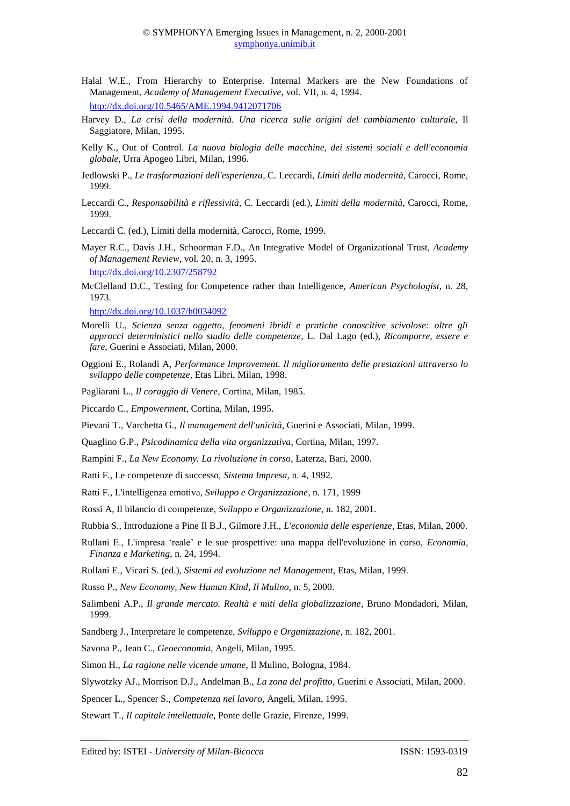- Halal W.E., From Hierarchy to Enterprise. Internal Markers are the New Foundations of Management, *Academy of Management Executive*, vol. VII, n. 4, 1994. http://dx.doi.org/10.5465/AME.1994.9412071706
- Harvey D., *La crisi della modernità. Una ricerca sulle origini del cambiamento culturale*, Il Saggiatore, Milan, 1995.
- Kelly K., Out of Control. *La nuova biologia delle macchine, dei sistemi sociali e dell'economia globale*, Urra Apogeo Libri, Milan, 1996.
- Jedlowski P., *Le trasformazioni dell'esperienza*, C. Leccardi, *Limiti della modernità*, Carocci, Rome, 1999.
- Leccardi C., *Responsabilità e riflessività*, C. Leccardi (ed.), *Limiti della modernità*, Carocci, Rome, 1999.

Leccardi C. (ed.), Limiti della modernità, Carocci, Rome, 1999.

Mayer R.C., Davis J.H., Schoorman F.D., An Integrative Model of Organizational Trust, *Academy of Management Review*, vol. 20, n. 3, 1995. http://dx.doi.org/10.2307/258792

McClelland D.C., Testing for Competence rather than Intelligence, *American Psychologist*, n. 28, 1973.

http://dx.doi.org/10.1037/h0034092

- Morelli U., *Scienza senza oggetto, fenomeni ibridi e pratiche conoscitive scivolose: oltre gli approcci deterministici nello studio delle competenze*, L. Dal Lago (ed.), *Ricomporre, essere e fare*, Guerini e Associati, Milan, 2000.
- Oggioni E., Rolandi A, *Performance Improvement. Il miglioramento delle prestazioni attraverso lo sviluppo delle competenze*, Etas Libri, Milan, 1998.

Pagliarani L., *Il coraggio di Venere*, Cortina, Milan, 1985.

Piccardo C., *Empowerment*, Cortina, Milan, 1995.

Pievani T., Varchetta G., *Il management dell'unicità*, Guerini e Associati, Milan, 1999.

Quaglino G.P., *Psicodinamica della vita organizzativa*, Cortina, Milan, 1997.

Rampini F., *La New Economy. La rivoluzione in corso*, Laterza, Bari, 2000.

Ratti F., Le competenze di successo, *Sistema Impresa*, n. 4, 1992.

Ratti F., L'intelligenza emotiva, *Sviluppo e Organizzazione*, n. 171, 1999

Rossi A, Il bilancio di competenze, *Sviluppo e Organizzazione*, n. 182, 2001.

Rubbia S., Introduzione a Pine Il B.J., Gilmore J.H., *L'economia delle esperienze*, Etas, Milan, 2000.

Rullani E., L'impresa 'reale' e le sue prospettive: una mappa dell'evoluzione in corso, *Economia, Finanza e Marketing*, n. 24, 1994.

Rullani E., Vicari S. (ed.), *Sistemi ed evoluzione nel Management*, Etas, Milan, 1999.

Russo P., *New Economy, New Human Kind*, *Il Mulino*, n. 5, 2000.

Salimbeni A.P., *Il grande mercato. Realtà e miti della globalizzazione*, Bruno Mondadori, Milan, 1999.

Sandberg J., Interpretare le competenze, *Sviluppo e Organizzazione*, n. 182, 2001.

Savona P., Jean C., *Geoeconomia*, Angeli, Milan, 1995.

Simon H., *La ragione nelle vicende umane*, Il Mulino, Bologna, 1984.

Slywotzky AJ., Morrison D.J., Andelman B., *La zona del profitto*, Guerini e Associati, Milan, 2000.

Spencer L., Spencer S., *Competenza nel lavoro*, Angeli, Milan, 1995.

Stewart T., *Il capitale intellettuale*, Ponte delle Grazie, Firenze, 1999.